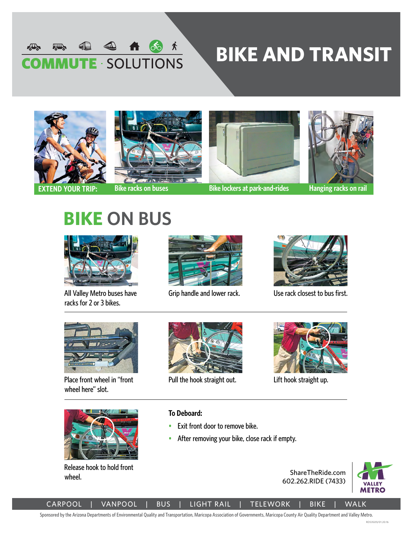

# **BIKE AND TRANSIT**









**EXTEND YOUR TRIP: Bike racks on buses Bike lockers at park-and-rides Hanging racks on rail**

## **BIKE ON BUS**



All Valley Metro buses have racks for 2 or 3 bikes.



Grip handle and lower rack.



Use rack closest to bus first.



Place front wheel in "front wheel here" slot.



Release hook to hold front wheel.



Pull the hook straight out.



Lift hook straight up.

#### **To Deboard:**

- Exit front door to remove bike.
- After removing your bike, close rack if empty.





CARPOOL | VANPOOL | BUS | LIGHT RAIL | TELEWORK | BIKE | WALK

Sponsored by the Arizona Departments of Environmental Quality and Transportation, Maricopa Association of Governments, Maricopa County Air Quality Department and Valley Metro.